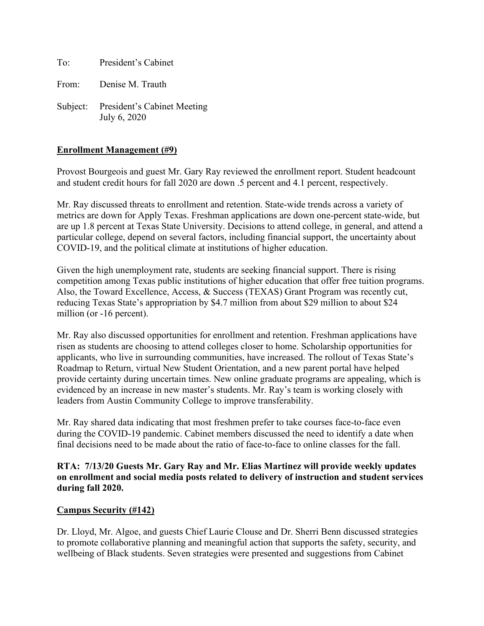To: President's Cabinet

From: Denise M. Trauth

Subject: President's Cabinet Meeting July 6, 2020

### **Enrollment Management (#9)**

Provost Bourgeois and guest Mr. Gary Ray reviewed the enrollment report. Student headcount and student credit hours for fall 2020 are down .5 percent and 4.1 percent, respectively.

Mr. Ray discussed threats to enrollment and retention. State-wide trends across a variety of metrics are down for Apply Texas. Freshman applications are down one-percent state-wide, but are up 1.8 percent at Texas State University. Decisions to attend college, in general, and attend a particular college, depend on several factors, including financial support, the uncertainty about COVID-19, and the political climate at institutions of higher education.

Given the high unemployment rate, students are seeking financial support. There is rising competition among Texas public institutions of higher education that offer free tuition programs. Also, the Toward Excellence, Access, & Success (TEXAS) Grant Program was recently cut, reducing Texas State's appropriation by \$4.7 million from about \$29 million to about \$24 million (or -16 percent).

Mr. Ray also discussed opportunities for enrollment and retention. Freshman applications have risen as students are choosing to attend colleges closer to home. Scholarship opportunities for applicants, who live in surrounding communities, have increased. The rollout of Texas State's Roadmap to Return, virtual New Student Orientation, and a new parent portal have helped provide certainty during uncertain times. New online graduate programs are appealing, which is evidenced by an increase in new master's students. Mr. Ray's team is working closely with leaders from Austin Community College to improve transferability.

Mr. Ray shared data indicating that most freshmen prefer to take courses face-to-face even during the COVID-19 pandemic. Cabinet members discussed the need to identify a date when final decisions need to be made about the ratio of face-to-face to online classes for the fall.

#### **RTA: 7/13/20 Guests Mr. Gary Ray and Mr. Elias Martinez will provide weekly updates on enrollment and social media posts related to delivery of instruction and student services during fall 2020.**

#### **Campus Security (#142)**

Dr. Lloyd, Mr. Algoe, and guests Chief Laurie Clouse and Dr. Sherri Benn discussed strategies to promote collaborative planning and meaningful action that supports the safety, security, and wellbeing of Black students. Seven strategies were presented and suggestions from Cabinet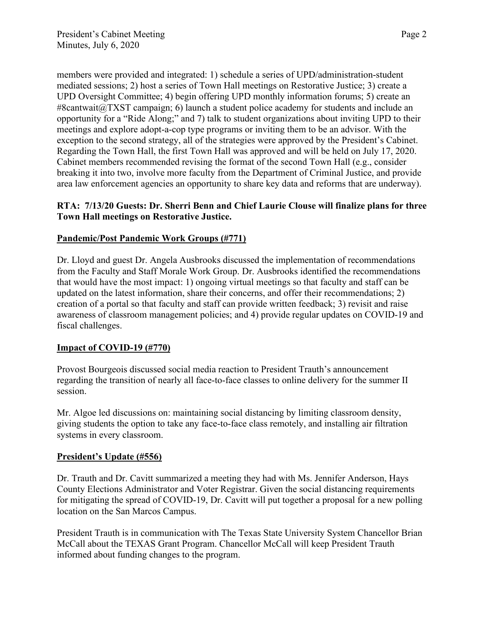members were provided and integrated: 1) schedule a series of UPD/administration-student mediated sessions; 2) host a series of Town Hall meetings on Restorative Justice; 3) create a UPD Oversight Committee; 4) begin offering UPD monthly information forums; 5) create an  $\#8$ cantwait@TXST campaign; 6) launch a student police academy for students and include an opportunity for a "Ride Along;" and 7) talk to student organizations about inviting UPD to their meetings and explore adopt-a-cop type programs or inviting them to be an advisor. With the exception to the second strategy, all of the strategies were approved by the President's Cabinet. Regarding the Town Hall, the first Town Hall was approved and will be held on July 17, 2020. Cabinet members recommended revising the format of the second Town Hall (e.g., consider breaking it into two, involve more faculty from the Department of Criminal Justice, and provide area law enforcement agencies an opportunity to share key data and reforms that are underway).

# **RTA: 7/13/20 Guests: Dr. Sherri Benn and Chief Laurie Clouse will finalize plans for three Town Hall meetings on Restorative Justice.**

# **Pandemic/Post Pandemic Work Groups (#771)**

Dr. Lloyd and guest Dr. Angela Ausbrooks discussed the implementation of recommendations from the Faculty and Staff Morale Work Group. Dr. Ausbrooks identified the recommendations that would have the most impact: 1) ongoing virtual meetings so that faculty and staff can be updated on the latest information, share their concerns, and offer their recommendations; 2) creation of a portal so that faculty and staff can provide written feedback; 3) revisit and raise awareness of classroom management policies; and 4) provide regular updates on COVID-19 and fiscal challenges.

# **Impact of COVID-19 (#770)**

Provost Bourgeois discussed social media reaction to President Trauth's announcement regarding the transition of nearly all face-to-face classes to online delivery for the summer II session.

Mr. Algoe led discussions on: maintaining social distancing by limiting classroom density, giving students the option to take any face-to-face class remotely, and installing air filtration systems in every classroom.

#### **President's Update (#556)**

Dr. Trauth and Dr. Cavitt summarized a meeting they had with Ms. Jennifer Anderson, Hays County Elections Administrator and Voter Registrar. Given the social distancing requirements for mitigating the spread of COVID-19, Dr. Cavitt will put together a proposal for a new polling location on the San Marcos Campus.

President Trauth is in communication with The Texas State University System Chancellor Brian McCall about the TEXAS Grant Program. Chancellor McCall will keep President Trauth informed about funding changes to the program.